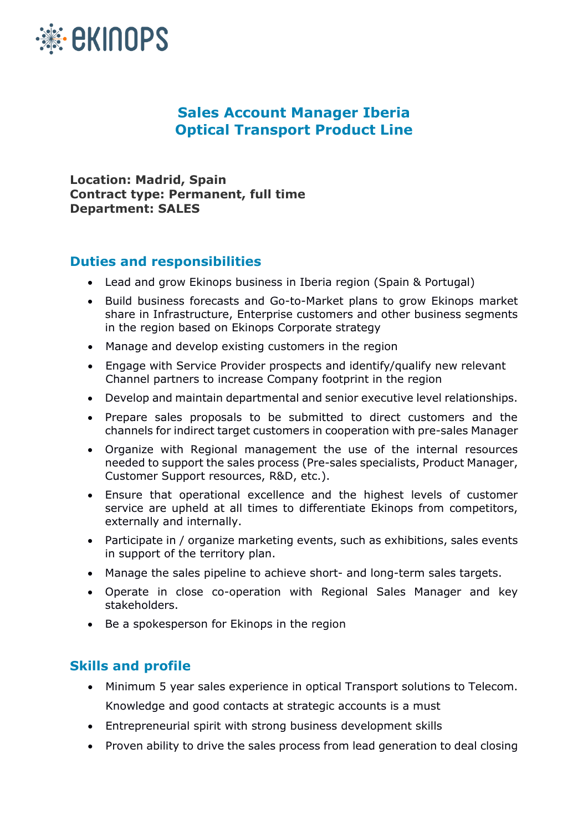

## **Sales Account Manager Iberia Optical Transport Product Line**

**Location: Madrid, Spain Contract type: Permanent, full time Department: SALES**

## **Duties and responsibilities**

- Lead and grow Ekinops business in Iberia region (Spain & Portugal)
- Build business forecasts and Go-to-Market plans to grow Ekinops market share in Infrastructure, Enterprise customers and other business segments in the region based on Ekinops Corporate strategy
- Manage and develop existing customers in the region
- Engage with Service Provider prospects and identify/qualify new relevant Channel partners to increase Company footprint in the region
- Develop and maintain departmental and senior executive level relationships.
- Prepare sales proposals to be submitted to direct customers and the channels for indirect target customers in cooperation with pre-sales Manager
- Organize with Regional management the use of the internal resources needed to support the sales process (Pre-sales specialists, Product Manager, Customer Support resources, R&D, etc.).
- Ensure that operational excellence and the highest levels of customer service are upheld at all times to differentiate Ekinops from competitors, externally and internally.
- Participate in / organize marketing events, such as exhibitions, sales events in support of the territory plan.
- Manage the sales pipeline to achieve short- and long-term sales targets.
- Operate in close co-operation with Regional Sales Manager and key stakeholders.
- Be a spokesperson for Ekinops in the region

## **Skills and profile**

- Minimum 5 year sales experience in optical Transport solutions to Telecom. Knowledge and good contacts at strategic accounts is a must
- Entrepreneurial spirit with strong business development skills
- Proven ability to drive the sales process from lead generation to deal closing